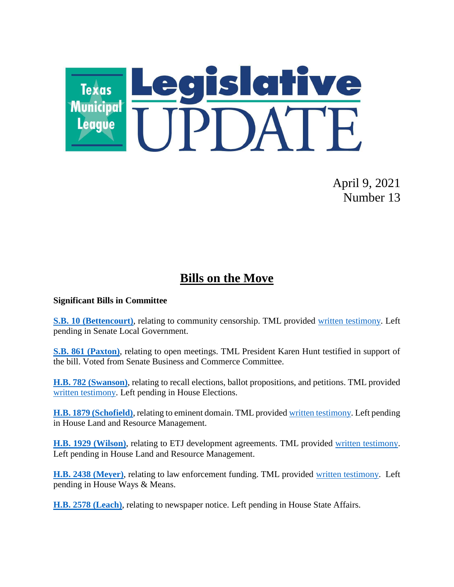

April 9, 2021 Number 13

## **Bills on the Move**

#### **Significant Bills in Committee**

**[S.B. 10 \(Bettencourt\)](https://capitol.texas.gov/BillLookup/History.aspx?LegSess=87R&Bill=SB10)**, relating to community censorship. TML provided [written testimony.](https://www.tml.org/DocumentCenter/View/2634/sb-10-letter_TML) Left pending in Senate Local Government.

**[S.B. 861 \(Paxton\)](https://capitol.texas.gov/BillLookup/History.aspx?LegSess=87R&Bill=SB861)**, relating to open meetings. TML President Karen Hunt testified in support of the bill. Voted from Senate Business and Commerce Committee.

**[H.B. 782 \(Swanson\)](https://capitol.texas.gov/BillLookup/History.aspx?LegSess=87R&Bill=HB782)**, relating to recall elections, ballot propositions, and petitions. TML provided [written testimony.](https://www.tml.org/DocumentCenter/View/2636/HB-782-letter_TML) Left pending in House Elections.

**[H.B. 1879 \(Schofield\)](https://capitol.texas.gov/BillLookup/History.aspx?LegSess=87R&Bill=HB1879)**, relating to eminent domain. TML provided [written testimony.](https://www.tml.org/DocumentCenter/View/2628/HB-1879-Letter_TML) Left pending in House Land and Resource Management.

**[H.B. 1929 \(Wilson\)](https://capitol.texas.gov/BillLookup/History.aspx?LegSess=87R&Bill=HB1929)**, relating to ETJ development agreements. TML provided [written testimony.](https://www.tml.org/DocumentCenter/View/2629/HB-1929-letter_TML) Left pending in House Land and Resource Management.

**[H.B. 2438 \(Meyer\)](https://capitol.texas.gov/BillLookup/History.aspx?LegSess=87R&Bill=HB2438)**, relating to law enforcement funding. TML provided [written testimony.](https://www.tml.org/DocumentCenter/View/2630/HB-2438-et-al-letter) Left pending in House Ways & Means.

**[H.B. 2578 \(Leach\)](https://capitol.texas.gov/BillLookup/History.aspx?LegSess=87R&Bill=HB2578)**, relating to newspaper notice. Left pending in House State Affairs.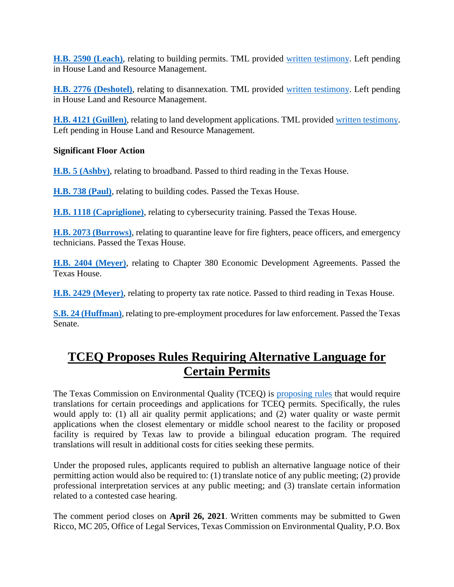**[H.B. 2590 \(Leach\)](https://capitol.texas.gov/BillLookup/History.aspx?LegSess=87R&Bill=HB2590)**, relating to building permits. TML provided [written testimony.](https://www.tml.org/DocumentCenter/View/2631/HB-2590-Letter_TML_building-permits) Left pending in House Land and Resource Management.

**[H.B. 2776 \(Deshotel\)](https://capitol.texas.gov/BillLookup/History.aspx?LegSess=87R&Bill=HB2776)**, relating to disannexation. TML provided [written testimony.](https://www.tml.org/DocumentCenter/View/2632/HB-2776-Letter_TML) Left pending in House Land and Resource Management.

**[H.B. 4121 \(Guillen\)](https://capitol.texas.gov/BillLookup/History.aspx?LegSess=87R&Bill=HB4121)**, relating to land development applications. TML provided [written testimony.](https://www.tml.org/DocumentCenter/View/2633/HB-4121-letter_TML_dev-shot-clock_sh_4321) Left pending in House Land and Resource Management.

#### **Significant Floor Action**

**[H.B. 5 \(Ashby\)](https://capitol.texas.gov/BillLookup/History.aspx?LegSess=87R&Bill=HB5)**, relating to broadband. Passed to third reading in the Texas House.

**[H.B. 738 \(Paul\)](https://capitol.texas.gov/BillLookup/History.aspx?LegSess=87R&Bill=HB738)**, relating to building codes. Passed the Texas House.

**[H.B. 1118 \(Capriglione\)](https://capitol.texas.gov/BillLookup/History.aspx?LegSess=87R&Bill=HB1118)**, relating to cybersecurity training. Passed the Texas House.

**[H.B. 2073 \(Burrows\)](https://capitol.texas.gov/BillLookup/History.aspx?LegSess=87R&Bill=HB2073)**, relating to quarantine leave for fire fighters, peace officers, and emergency technicians. Passed the Texas House.

**[H.B. 2404 \(Meyer\)](https://capitol.texas.gov/BillLookup/History.aspx?LegSess=87R&Bill=HB2404)**, relating to Chapter 380 Economic Development Agreements. Passed the Texas House.

**[H.B. 2429 \(Meyer\)](https://capitol.texas.gov/BillLookup/History.aspx?LegSess=87R&Bill=HB2429)**, relating to property tax rate notice. Passed to third reading in Texas House.

**[S.B. 24 \(Huffman\)](https://capitol.texas.gov/BillLookup/History.aspx?LegSess=87R&Bill=SB24)**, relating to pre-employment procedures for law enforcement. Passed the Texas Senate.

## **TCEQ Proposes Rules Requiring Alternative Language for Certain Permits**

The Texas Commission on Environmental Quality (TCEQ) is [proposing rules](https://www.sos.state.tx.us/texreg/archive/March262021/Proposed%20Rules/30.ENVIRONMENTAL%20QUALITY.html#84) that would require translations for certain proceedings and applications for TCEQ permits. Specifically, the rules would apply to: (1) all air quality permit applications; and (2) water quality or waste permit applications when the closest elementary or middle school nearest to the facility or proposed facility is required by Texas law to provide a bilingual education program. The required translations will result in additional costs for cities seeking these permits.

Under the proposed rules, applicants required to publish an alternative language notice of their permitting action would also be required to: (1) translate notice of any public meeting; (2) provide professional interpretation services at any public meeting; and (3) translate certain information related to a contested case hearing.

The comment period closes on **April 26, 2021**. Written comments may be submitted to Gwen Ricco, MC 205, Office of Legal Services, Texas Commission on Environmental Quality, P.O. Box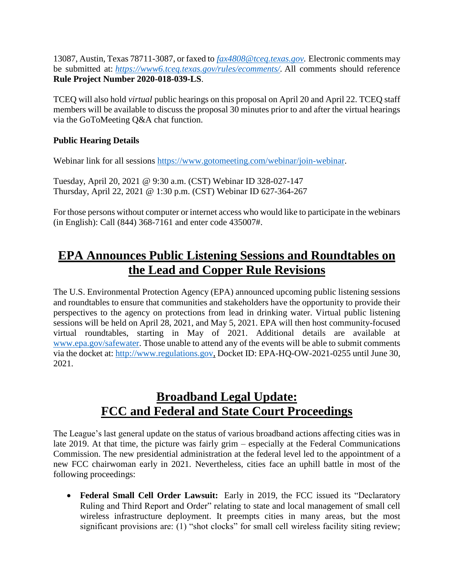13087, Austin, Texas 78711-3087, or faxed to *[fax4808@tceq.texas.gov.](mailto:fax4808@tceq.texas.gov)* Electronic comments may be submitted at: *[https://www6.tceq.texas.gov/rules/ecomments/.](https://www6.tceq.texas.gov/rules/ecomments/)* All comments should reference **Rule Project Number 2020-018-039-LS**.

TCEQ will also hold *virtual* public hearings on this proposal on April 20 and April 22. TCEQ staff members will be available to discuss the proposal 30 minutes prior to and after the virtual hearings via the GoToMeeting Q&A chat function.

#### **Public Hearing Details**

Webinar link for all sessions [https://www.gotomeeting.com/webinar/join-webinar.](https://www.gotomeeting.com/webinar/join-webinar)

Tuesday, April 20, 2021 @ 9:30 a.m. (CST) Webinar ID 328-027-147 Thursday, April 22, 2021 @ 1:30 p.m. (CST) Webinar ID 627-364-267

For those persons without computer or internet access who would like to participate in the webinars (in English): Call (844) 368-7161 and enter code 435007#.

## **EPA Announces Public Listening Sessions and Roundtables on the Lead and Copper Rule Revisions**

The U.S. Environmental Protection Agency (EPA) announced upcoming public listening sessions and roundtables to ensure that communities and stakeholders have the opportunity to provide their perspectives to the agency on protections from lead in drinking water. Virtual public listening sessions will be held on April 28, 2021, and May 5, 2021. EPA will then host community-focused virtual roundtables, starting in May of 2021. Additional details are available at [www.epa.gov/safewater.](https://nam11.safelinks.protection.outlook.com/?url=https%3A%2F%2Fu7061146.ct.sendgrid.net%2Fls%2Fclick%3Fupn%3D4tNED-2FM8iDZJQyQ53jATUcpCcdFw0yn4eSS6f1J4LqFdObizEo-2B30tQ7HSpJBMuuNJT9_-2F6YzgLUDBwNokpjZvTxMH-2BhhainH2m2CLCzGcH3sFPqYDlm2FSt6zOvY4I1ND3ZGIT98qTOtngoz1o-2BrKBhnmnZOtUP6LX5WyI0zGEZwKn4Vocmg2wRNAsqaPa0zOgzYAjEJqvPrl4ZfQ6cssKj3Cxt7mecmolZnhU02pCg0lJXvs4HrmpM-2FW491Cpk-2FE1aS3jSbK1c7G3HUSMLg6kDDfUXWq-2BTkul9QU1lKxa2R-2FW2fZNDAoDBAYtc289Viy8CLgYS1WWQvKCBZ-2BB2UWL1KOL9yHJQuYPNmM-2FCaP3oLD3IwIr240CpGq9cxdLWO7uGFSIL0H4O2VzGFmwP8S1CACJWpYl7scTz8ZtmJ3xPGzWI-3D&data=04%7C01%7Ccarmen.ramirez%40tceq.texas.gov%7Cfbea6d35cec440cf7aa908d8f47610a0%7C871a83a4a1ce4b7a81563bcd93a08fba%7C0%7C0%7C637528135217579609%7CUnknown%7CTWFpbGZsb3d8eyJWIjoiMC4wLjAwMDAiLCJQIjoiV2luMzIiLCJBTiI6Ik1haWwiLCJXVCI6Mn0%3D%7C1000&sdata=A%2FTpqv%2BkJwqjgYAAeG0H0zuNTz5lBaDxzqcYR8RKxBQ%3D&reserved=0) Those unable to attend any of the events will be able to submit comments via the docket at[: http://www.regulations.gov,](https://nam11.safelinks.protection.outlook.com/?url=https%3A%2F%2Fu7061146.ct.sendgrid.net%2Fls%2Fclick%3Fupn%3DTeZUXWpUv-2B6TCY38pVLo9iXbjbEj1kMGzuP60jauLHOOwytmxieqaNc-2BYRrT9HG1GseW_-2F6YzgLUDBwNokpjZvTxMH-2BhhainH2m2CLCzGcH3sFPqYDlm2FSt6zOvY4I1ND3ZGIT98qTOtngoz1o-2BrKBhnmnZOtUP6LX5WyI0zGEZwKn4Vocmg2wRNAsqaPa0zOgzYAjEJqvPrl4ZfQ6cssKj3Cxt7mecmolZnhU02pCg0lJXvs4HrmpM-2FW491Cpk-2FE1aS3jSbK1c7G3HUSMLg6kDDfWJtu55vvAeRubRf5VUw0Uzt9ofPB8g-2BoORWq9FyEXgJ-2BZC2Cblr1JaiqTuBOS5Y6NVNwK5o-2F8loJgn1B1qA8EDz-2BlIKrz7NjafWMcmqYwfGu2Vrw8Rj0XGef7qbbd50ZbyWTpX4z5Tgy1dmD3yKYlU-3D&data=04%7C01%7Ccarmen.ramirez%40tceq.texas.gov%7Cfbea6d35cec440cf7aa908d8f47610a0%7C871a83a4a1ce4b7a81563bcd93a08fba%7C0%7C0%7C637528135217589563%7CUnknown%7CTWFpbGZsb3d8eyJWIjoiMC4wLjAwMDAiLCJQIjoiV2luMzIiLCJBTiI6Ik1haWwiLCJXVCI6Mn0%3D%7C1000&sdata=6a9qpKUnz8oBr50C9Po6PD7nu3xyU6f2AcWCCe8ZwZM%3D&reserved=0) Docket ID: EPA-HQ-OW-2021-0255 until June 30, 2021.

## **Broadband Legal Update: FCC and Federal and State Court Proceedings**

The League's last general update on the status of various broadband actions affecting cities was in late 2019. At that time, the picture was fairly grim – especially at the Federal Communications Commission. The new presidential administration at the federal level led to the appointment of a new FCC chairwoman early in 2021. Nevertheless, cities face an uphill battle in most of the following proceedings:

 **Federal Small Cell Order Lawsuit:** Early in 2019, the FCC issued its "Declaratory Ruling and Third Report and Order" relating to state and local management of small cell wireless infrastructure deployment. It preempts cities in many areas, but the most significant provisions are: (1) "shot clocks" for small cell wireless facility siting review;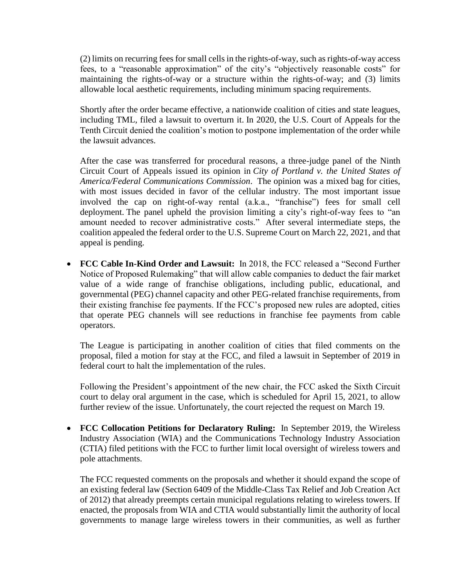(2) limits on recurring fees for small cells in the rights-of-way, such as rights-of-way access fees, to a "reasonable approximation" of the city's "objectively reasonable costs" for maintaining the rights-of-way or a structure within the rights-of-way; and (3) limits allowable local aesthetic requirements, including minimum spacing requirements.

Shortly after the order became effective, a nationwide coalition of cities and state leagues, including TML, filed a lawsuit to overturn it. In 2020, the U.S. Court of Appeals for the Tenth Circuit denied the coalition's motion to postpone implementation of the order while the lawsuit advances.

After the case was transferred for procedural reasons, a three-judge panel of the Ninth Circuit Court of Appeals issued its opinion in *City of Portland v. the United States of America/Federal Communications Commission*. The opinion was a mixed bag for cities, with most issues decided in favor of the cellular industry. The most important issue involved the cap on right-of-way rental (a.k.a., "franchise") fees for small cell deployment. The panel upheld the provision limiting a city's right-of-way fees to "an amount needed to recover administrative costs." After several intermediate steps, the coalition appealed the federal order to the U.S. Supreme Court on March 22, 2021, and that appeal is pending.

 **FCC Cable In-Kind Order and Lawsuit:** In 2018, the FCC released a "Second Further Notice of Proposed Rulemaking" that will allow cable companies to deduct the fair market value of a wide range of franchise obligations, including public, educational, and governmental (PEG) channel capacity and other PEG-related franchise requirements, from their existing franchise fee payments. If the FCC's proposed new rules are adopted, cities that operate PEG channels will see reductions in franchise fee payments from cable operators.

The League is participating in another coalition of cities that filed comments on the proposal, filed a motion for stay at the FCC, and filed a lawsuit in September of 2019 in federal court to halt the implementation of the rules.

Following the President's appointment of the new chair, the FCC asked the Sixth Circuit court to delay oral argument in the case, which is scheduled for April 15, 2021, to allow further review of the issue. Unfortunately, the court rejected the request on March 19.

 **FCC Collocation Petitions for Declaratory Ruling:** In September 2019, the Wireless Industry Association (WIA) and the Communications Technology Industry Association (CTIA) filed petitions with the FCC to further limit local oversight of wireless towers and pole attachments.

The FCC requested comments on the proposals and whether it should expand the scope of an existing federal law (Section 6409 of the Middle-Class Tax Relief and Job Creation Act of 2012) that already preempts certain municipal regulations relating to wireless towers. If enacted, the proposals from WIA and CTIA would substantially limit the authority of local governments to manage large wireless towers in their communities, as well as further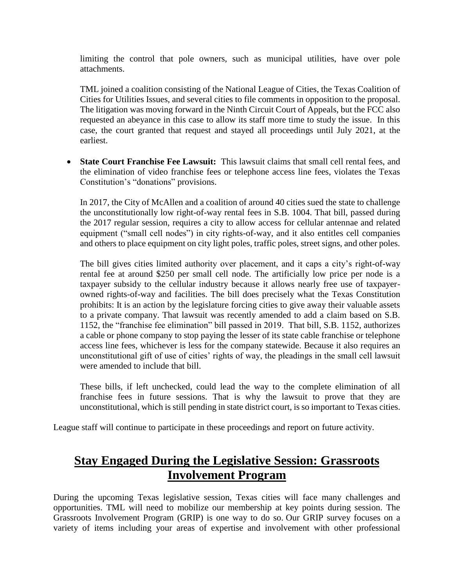limiting the control that pole owners, such as municipal utilities, have over pole attachments.

TML joined a coalition consisting of the National League of Cities, the Texas Coalition of Cities for Utilities Issues, and several cities to file comments in opposition to the proposal. The litigation was moving forward in the Ninth Circuit Court of Appeals, but the FCC also requested an abeyance in this case to allow its staff more time to study the issue. In this case, the court granted that request and stayed all proceedings until July 2021, at the earliest.

 **State Court Franchise Fee Lawsuit:** This lawsuit claims that small cell rental fees, and the elimination of video franchise fees or telephone access line fees, violates the Texas Constitution's "donations" provisions.

In 2017, the City of McAllen and a coalition of around 40 cities sued the state to challenge the unconstitutionally low right-of-way rental fees in S.B. 1004. That bill, passed during the 2017 regular session, requires a city to allow access for cellular antennae and related equipment ("small cell nodes") in city rights-of-way, and it also entitles cell companies and others to place equipment on city light poles, traffic poles, street signs, and other poles.

The bill gives cities limited authority over placement, and it caps a city's right-of-way rental fee at around \$250 per small cell node. The artificially low price per node is a taxpayer subsidy to the cellular industry because it allows nearly free use of taxpayerowned rights-of-way and facilities. The bill does precisely what the Texas Constitution prohibits: It is an action by the legislature forcing cities to give away their valuable assets to a private company. That lawsuit was recently amended to add a claim based on S.B. 1152, the "franchise fee elimination" bill passed in 2019. That bill, S.B. 1152, authorizes a cable or phone company to stop paying the lesser of its state cable franchise or telephone access line fees, whichever is less for the company statewide. Because it also requires an unconstitutional gift of use of cities' rights of way, the pleadings in the small cell lawsuit were amended to include that bill.

These bills, if left unchecked, could lead the way to the complete elimination of all franchise fees in future sessions. That is why the lawsuit to prove that they are unconstitutional, which is still pending in state district court, is so important to Texas cities.

League staff will continue to participate in these proceedings and report on future activity.

#### **Stay Engaged During the Legislative Session: Grassroots Involvement Program**

During the upcoming Texas legislative session, Texas cities will face many challenges and opportunities. TML will need to mobilize our membership at key points during session. The Grassroots Involvement Program (GRIP) is one way to do so. Our GRIP survey focuses on a variety of items including your areas of expertise and involvement with other professional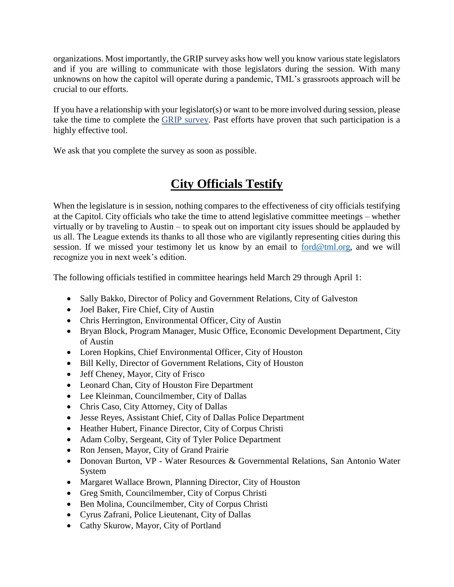organizations. Most importantly, the GRIP survey asks how well you know various state legislators and if you are willing to communicate with those legislators during the session. With many unknowns on how the capitol will operate during a pandemic, TML's grassroots approach will be crucial to our efforts.

If you have a relationship with your legislator(s) or want to be more involved during session, please take the time to complete the [GRIP survey.](https://tml.co1.qualtrics.com/jfe/form/SV_bynhW1yMazt7rV3) Past efforts have proven that such participation is a highly effective tool.

We ask that you complete the survey as soon as possible.

# **City Officials Testify**

When the legislature is in session, nothing compares to the effectiveness of city officials testifying at the Capitol. City officials who take the time to attend legislative committee meetings – whether virtually or by traveling to Austin – to speak out on important city issues should be applauded by us all. The League extends its thanks to all those who are vigilantly representing cities during this session. If we missed your testimony let us know by an email to [ford@tml.org,](mailto:ford@tml.org) and we will recognize you in next week's edition.

The following officials testified in committee hearings held March 29 through April 1:

- Sally Bakko, Director of Policy and Government Relations, City of Galveston
- Joel Baker, Fire Chief, City of Austin
- Chris Herrington, Environmental Officer, City of Austin
- Bryan Block, Program Manager, Music Office, Economic Development Department, City of Austin
- Loren Hopkins, Chief Environmental Officer, City of Houston
- Bill Kelly, Director of Government Relations, City of Houston
- Jeff Cheney, Mayor, City of Frisco
- Leonard Chan, City of Houston Fire Department
- Lee Kleinman, Councilmember, City of Dallas
- Chris Caso, City Attorney, City of Dallas
- Jesse Reyes, Assistant Chief, City of Dallas Police Department
- Heather Hubert, Finance Director, City of Corpus Christi
- Adam Colby, Sergeant, City of Tyler Police Department
- Ron Jensen, Mayor, City of Grand Prairie
- Donovan Burton, VP Water Resources & Governmental Relations, San Antonio Water System
- Margaret Wallace Brown, Planning Director, City of Houston
- Greg Smith, Councilmember, City of Corpus Christi
- Ben Molina, Councilmember, City of Corpus Christi
- Cyrus Zafrani, Police Lieutenant, City of Dallas
- Cathy Skurow, Mayor, City of Portland